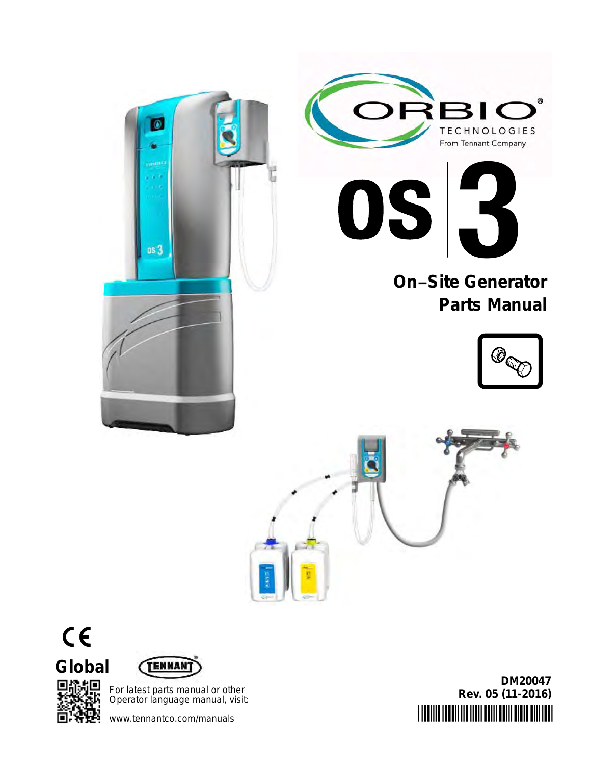





# **On−Site Generator Parts Manual**







叵

G



For latest parts manual or other Operator language manual, visit:

www.tennantco.com/manuals

.<br>DIMINI INTIH IN INIH MIH MIH MIH MIH INI **DM20047 Rev. 05 (11-2016)**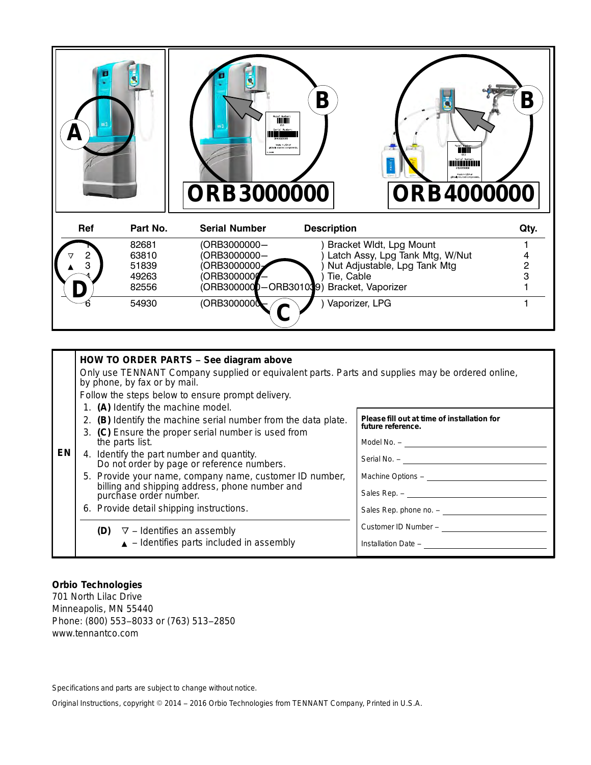

|    | HOW TO ORDER PARTS - See diagram above<br>Only use TENNANT Company supplied or equivalent parts. Parts and supplies may be ordered online,<br>by phone, by fax or by mail.<br>Follow the steps below to ensure prompt delivery.                                                                                                                                                                                                                                                                                     |                                                                                                                                                                        |
|----|---------------------------------------------------------------------------------------------------------------------------------------------------------------------------------------------------------------------------------------------------------------------------------------------------------------------------------------------------------------------------------------------------------------------------------------------------------------------------------------------------------------------|------------------------------------------------------------------------------------------------------------------------------------------------------------------------|
| EN | 1. (A) Identify the machine model.<br>2. (B) Identify the machine serial number from the data plate.<br>3. (C) Ensure the proper serial number is used from<br>the parts list.<br>4. Identify the part number and quantity.<br>Do not order by page or reference numbers.<br>5. Provide your name, company name, customer ID number,<br>billing and shipping address, phone number and<br>purchase order number.<br>6. Provide detail shipping instructions.<br><b>(D)</b> $\triangledown$ – Identifies an assembly | Please fill out at time of installation for<br>future reference.<br>Machine Options - ______________<br>Sales Rep. phone no. - _______________<br>Customer ID Number - |
|    | $\triangle$ - Identifies parts included in assembly                                                                                                                                                                                                                                                                                                                                                                                                                                                                 | Installation Date -                                                                                                                                                    |

#### **Orbio Technologies**

701 North Lilac Drive Minneapolis, MN 55440 Phone: (800) 553−8033 or (763) 513−2850 www.tennantco.com

Specifications and parts are subject to change without notice.

Original Instructions, copyright 2014 − 2016 Orbio Technologies from TENNANT Company, Printed in U.S.A.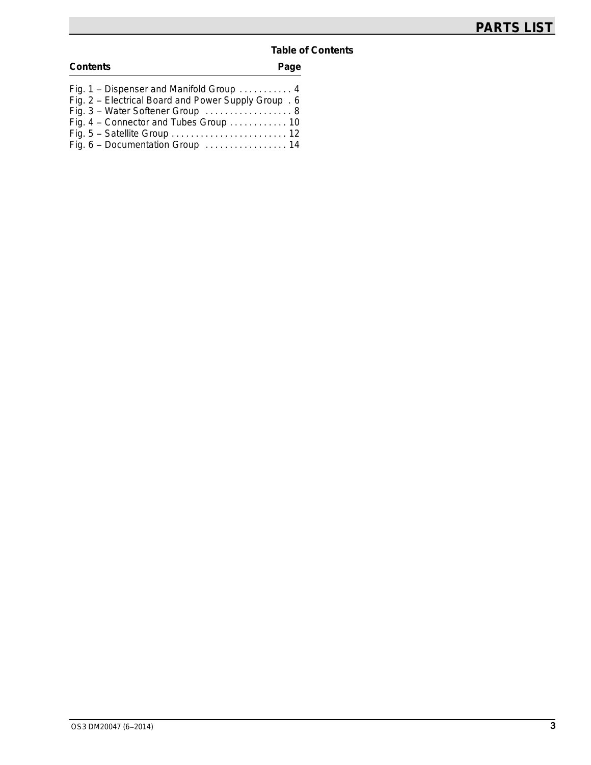#### **Table of Contents**

| <b>Contents</b>                                      | Page |
|------------------------------------------------------|------|
| Fig. 1 – Dispenser and Manifold Group  4             |      |
| Fig. 2 - Electrical Board and Power Supply Group . 6 |      |
| Fig. 3 - Water Softener Group  8                     |      |
| Fig. 4 - Connector and Tubes Group  10               |      |
|                                                      |      |
| Fig. 6 - Documentation Group  14                     |      |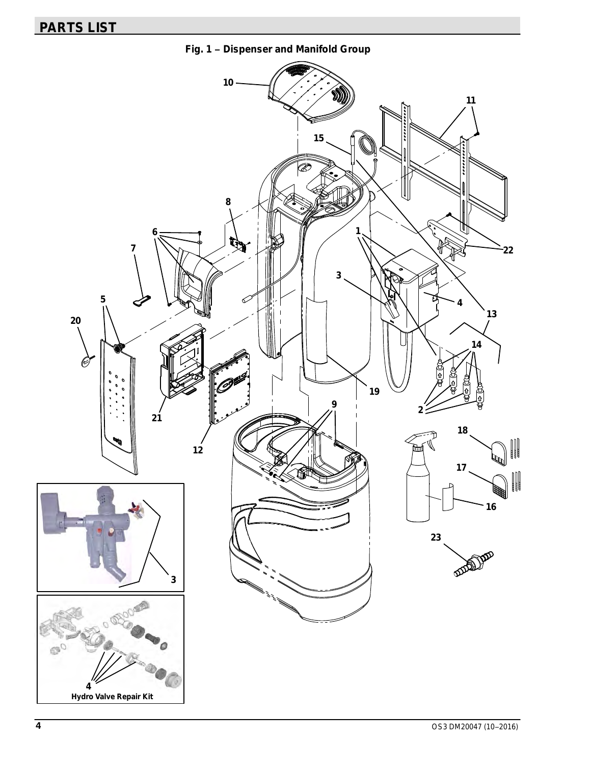<span id="page-3-0"></span>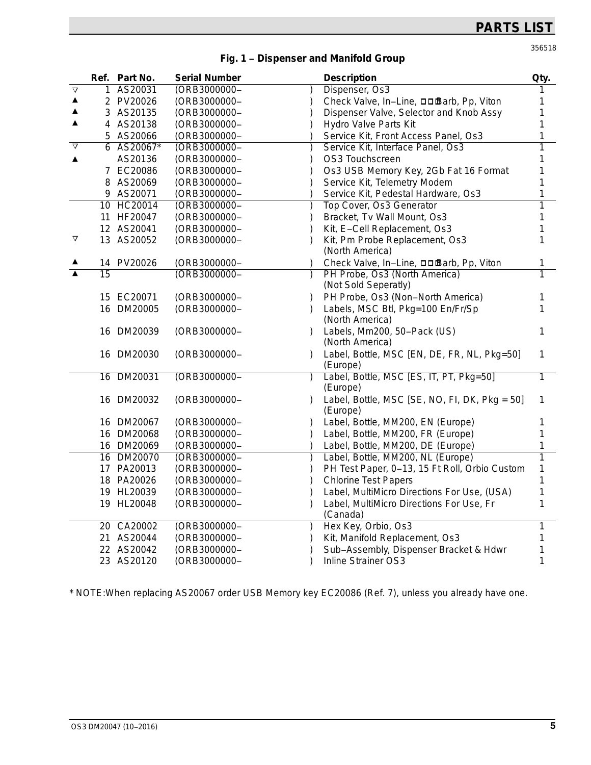356518

| Fig. 1 - Dispenser and Manifold Group |
|---------------------------------------|
|---------------------------------------|

|                  |                 | Ref. Part No. | <b>Serial Number</b>          | <b>Description</b>                                    | Qty. |
|------------------|-----------------|---------------|-------------------------------|-------------------------------------------------------|------|
| $\Delta$         |                 | 1 AS20031     | (ORB3000000-                  | Dispenser, Os3                                        |      |
| ▲                |                 | 2 PV20026     | (ORB3000000-                  | Check Valve, In-Line, □□Barb, Pp, Viton               |      |
| ▲                |                 | 3 AS20135     | (ORB3000000-                  | Dispenser Valve, Selector and Knob Assy               |      |
| ▲                |                 | 4 AS20138     | (ORB3000000-                  | Hydro Valve Parts Kit                                 |      |
|                  |                 | 5 AS20066     | (ORB3000000-                  | Service Kit, Front Access Panel, Os3                  |      |
| $\triangledown$  |                 | 6 AS20067*    | (ORB3000000-                  | Service Kit, Interface Panel, Os3                     | 1    |
|                  |                 | AS20136       | (ORB3000000-                  | OS3 Touchscreen                                       |      |
|                  |                 | 7 EC20086     | (ORB3000000-                  | Os3 USB Memory Key, 2Gb Fat 16 Format                 |      |
|                  |                 | 8 AS20069     | (ORB3000000-                  | Service Kit, Telemetry Modem                          |      |
|                  |                 | 9 AS20071     | (ORB3000000-                  | Service Kit, Pedestal Hardware, Os3                   |      |
|                  |                 | 10 HC20014    | (ORB3000000-                  | Top Cover, Os3 Generator                              | 1    |
|                  |                 | 11 HF20047    | (ORB3000000-                  | Bracket, Tv Wall Mount, Os3                           |      |
|                  |                 | 12 AS20041    | (ORB3000000-                  | Kit, E-Cell Replacement, Os3                          | 1    |
| ▽                |                 | 13 AS20052    | (ORB3000000-                  | Kit, Pm Probe Replacement, Os3                        | 1    |
|                  |                 |               |                               | (North America)                                       |      |
|                  |                 | 14 PV20026    | (ORB3000000-                  | Check Valve, In-Line, □□Barb, Pp, Viton               | 1    |
| $\blacktriangle$ | $\overline{15}$ |               | (ORB3000000-                  | PH Probe, Os3 (North America)<br>(Not Sold Seperatly) | 1    |
|                  |                 | 15 EC20071    | (ORB3000000-<br>$\mathcal{L}$ | PH Probe, Os3 (Non-North America)                     | 1    |
|                  |                 | 16 DM20005    | (ORB3000000-                  | Labels, MSC Btl, Pkg=100 En/Fr/Sp                     | 1    |
|                  |                 |               |                               | (North America)                                       |      |
|                  |                 | 16 DM20039    | (ORB3000000-<br>$\lambda$     | Labels, Mm200, 50-Pack (US)                           | 1    |
|                  |                 |               |                               | (North America)                                       |      |
|                  |                 | 16 DM20030    | (ORB3000000-                  | Label, Bottle, MSC [EN, DE, FR, NL, Pkg=50]           | 1    |
|                  |                 |               |                               | (Europe)                                              |      |
|                  |                 | 16 DM20031    | (ORB3000000-                  | Label, Bottle, MSC [ES, IT, PT, Pkg=50]<br>(Europe)   | 1    |
|                  |                 | 16 DM20032    | (ORB3000000-                  | Label, Bottle, MSC [SE, NO, FI, DK, Pkg = 50]         | 1    |
|                  |                 |               |                               | (Europe)                                              |      |
|                  |                 | 16 DM20067    | (ORB3000000-<br>$\lambda$     | Label, Bottle, MM200, EN (Europe)                     | 1    |
|                  |                 | 16 DM20068    | (ORB3000000-                  | Label, Bottle, MM200, FR (Europe)                     | 1    |
|                  |                 | 16 DM20069    | (ORB3000000-                  | Label, Bottle, MM200, DE (Europe)                     |      |
|                  |                 | 16 DM20070    | (ORB3000000-                  | Label, Bottle, MM200, NL (Europe)                     | 1    |
|                  |                 | 17 PA20013    | (ORB3000000-                  | PH Test Paper, 0-13, 15 Ft Roll, Orbio Custom         | 1    |
|                  |                 | 18 PA20026    | (ORB3000000-                  | <b>Chlorine Test Papers</b><br>1                      |      |
|                  |                 | 19 HL20039    | (ORB3000000-                  | Label, MultiMicro Directions For Use, (USA)           | 1    |
|                  |                 | 19 HL20048    | (ORB3000000-                  | Label, MultiMicro Directions For Use, Fr<br>(Canada)  | 1    |
|                  |                 | 20 CA20002    | (ORB3000000-                  | Hex Key, Orbio, Os3                                   | 1    |
|                  |                 | 21 AS20044    | (ORB3000000-                  | Kit, Manifold Replacement, Os3                        |      |
|                  |                 | 22 AS20042    | (ORB3000000-                  | Sub-Assembly, Dispenser Bracket & Hdwr                |      |
|                  |                 | 23 AS20120    | (ORB3000000-                  | <b>Inline Strainer OS3</b><br>1                       |      |

\* NOTE:When replacing AS20067 order USB Memory key EC20086 (Ref. 7), unless you already have one.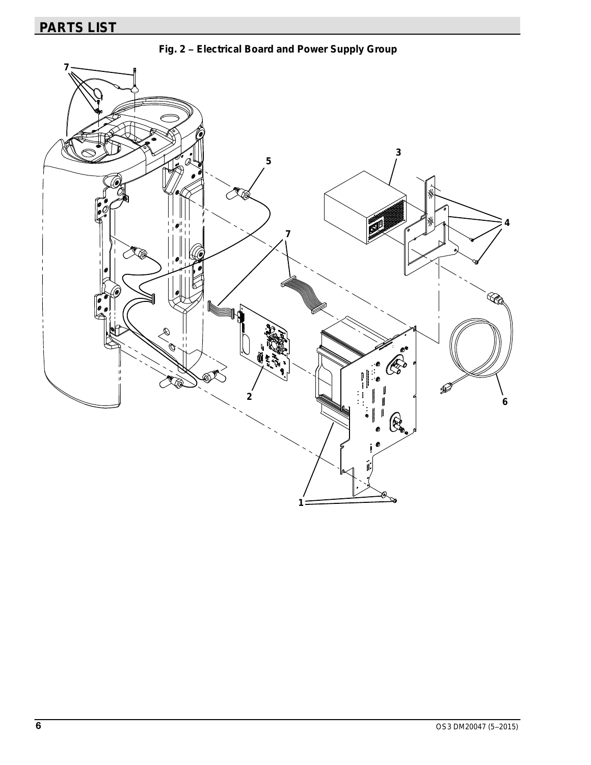<span id="page-5-0"></span>**Fig. 2 − Electrical Board and Power Supply Group**

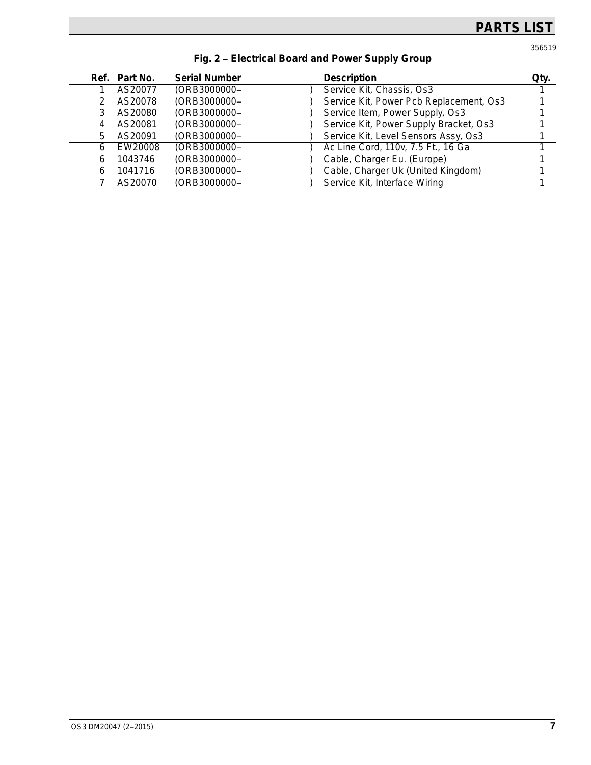356519

|   | Ref. Part No. | <b>Serial Number</b> | <b>Description</b>                      | Qty. |
|---|---------------|----------------------|-----------------------------------------|------|
|   | AS20077       | (ORB3000000-         | Service Kit, Chassis, Os3               |      |
|   | AS20078       | (ORB3000000-         | Service Kit, Power Pcb Replacement, Os3 |      |
| 3 | AS20080       | (ORB3000000-         | Service Item, Power Supply, Os3         |      |
| 4 | AS20081       | (ORB3000000-         | Service Kit, Power Supply Bracket, Os3  |      |
| 5 | AS20091       | (ORB3000000-         | Service Kit, Level Sensors Assy, Os3    |      |
| 6 | EW20008       | (ORB3000000-         | Ac Line Cord, 110v, 7.5 Ft., 16 Ga      |      |
| 6 | 1043746       | (ORB3000000-         | Cable, Charger Eu. (Europe)             |      |
| 6 | 1041716       | (ORB3000000-         | Cable, Charger Uk (United Kingdom)      |      |
|   | AS20070       | (ORB3000000-         | Service Kit, Interface Wiring           |      |
|   |               |                      |                                         |      |

### **[Fig. 2](#page-5-0) − Electrical Board and Power Supply Group**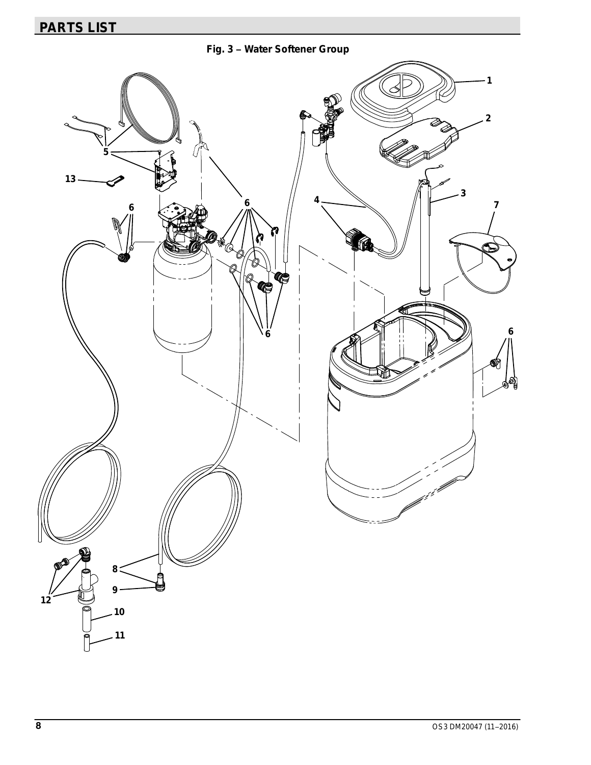<span id="page-7-0"></span>**Fig. 3 − Water Softener Group**

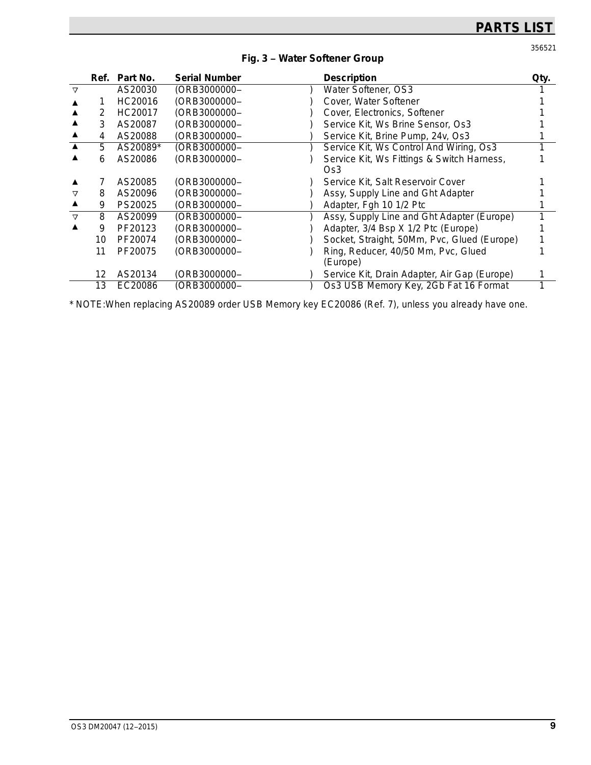356521

|                 | Ref. | Part No. | <b>Serial Number</b> | <b>Description</b>                                | Qty. |
|-----------------|------|----------|----------------------|---------------------------------------------------|------|
| $\triangledown$ |      | AS20030  | (ORB3000000–         | Water Softener, OS3                               |      |
|                 |      | HC20016  | (ORB3000000-         | Cover, Water Softener                             |      |
|                 | 2    | HC20017  | (ORB3000000-         | Cover, Electronics, Softener                      |      |
|                 | 3    | AS20087  | (ORB3000000-         | Service Kit, Ws Brine Sensor, Os3                 |      |
|                 | 4    | AS20088  | (ORB3000000-         | Service Kit, Brine Pump, 24v, Os3                 |      |
|                 | 5.   | AS20089* | (ORB3000000–         | Service Kit, Ws Control And Wiring, Os3           |      |
|                 | 6    | AS20086  | (ORB3000000–         | Service Kit, Ws Fittings & Switch Harness,<br>Os3 |      |
|                 |      | AS20085  | (ORB3000000–         | Service Kit, Salt Reservoir Cover                 |      |
| $\triangledown$ | 8    | AS20096  | (ORB3000000-         | Assy, Supply Line and Ght Adapter                 |      |
|                 | 9    | PS20025  | (ORB3000000–         | Adapter, Fgh 10 1/2 Ptc                           |      |
| $\triangledown$ | 8    | AS20099  | (ORB3000000–         | Assy, Supply Line and Ght Adapter (Europe)        |      |
|                 | 9    | PF20123  | (ORB3000000–         | Adapter, 3/4 Bsp X 1/2 Ptc (Europe)               |      |
|                 | 10   | PF20074  | (ORB3000000–         | Socket, Straight, 50Mm, Pvc, Glued (Europe)       |      |
|                 | 11   | PF20075  | (ORB3000000–         | Ring, Reducer, 40/50 Mm, Pvc, Glued<br>(Europe)   |      |
|                 | 12   | AS20134  | (ORB3000000–         | Service Kit, Drain Adapter, Air Gap (Europe)      |      |
|                 | 13   | EC20086  | (ORB3000000-         | Os3 USB Memory Key, 2Gb Fat 16 Format             |      |

#### **[Fig. 3](#page-7-0) − Water Softener Group**

\* NOTE:When replacing AS20089 order USB Memory key EC20086 (Ref. 7), unless you already have one.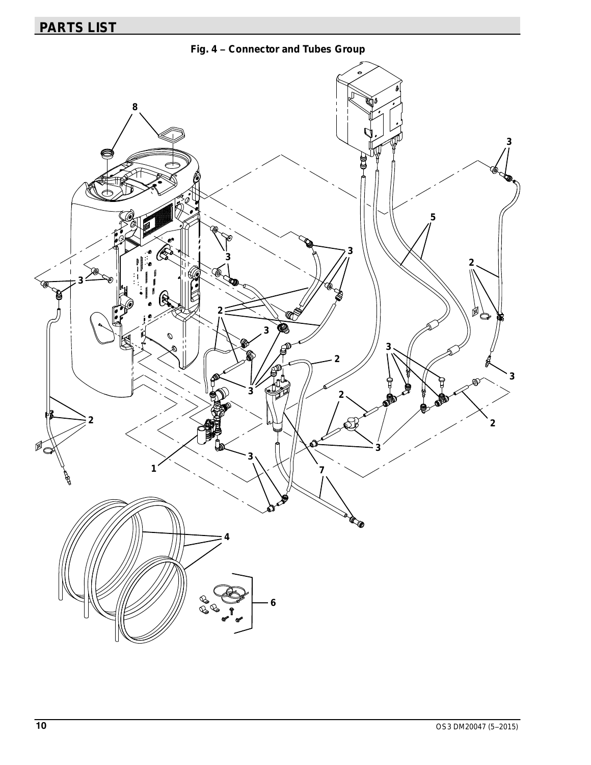**Fig. 4 − Connector and Tubes Group**

<span id="page-9-0"></span>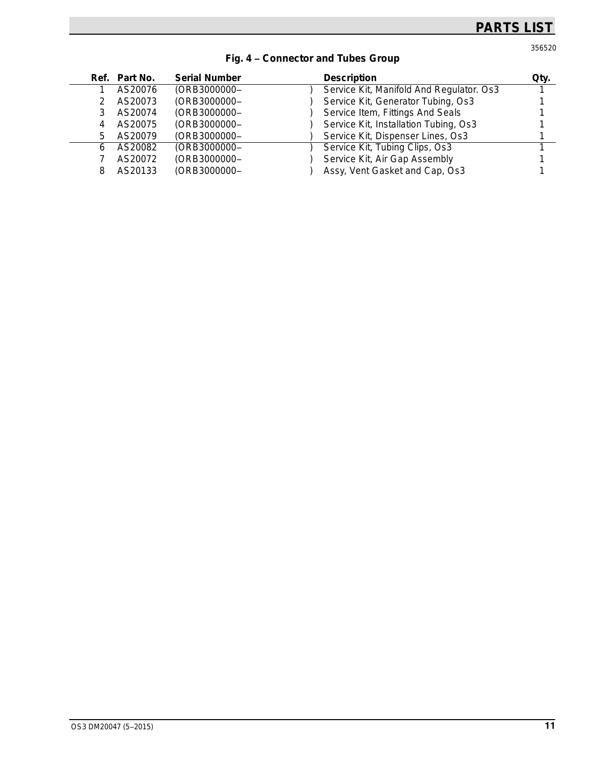356520

|   | Ref. Part No. | <b>Serial Number</b> | <b>Description</b>                       | Qty. |
|---|---------------|----------------------|------------------------------------------|------|
|   | AS20076       | (ORB3000000-         | Service Kit, Manifold And Regulator. Os3 |      |
|   | AS20073       | (ORB3000000-         | Service Kit, Generator Tubing, Os3       |      |
|   | AS20074       | (ORB3000000-         | Service Item, Fittings And Seals         |      |
|   | AS20075       | (ORB3000000-         | Service Kit, Installation Tubing, Os3    |      |
| 5 | AS20079       | (ORB3000000-         | Service Kit, Dispenser Lines, Os3        |      |
| 6 | AS20082       | (ORB3000000-         | Service Kit, Tubing Clips, Os3           |      |
|   | AS20072       | (ORB3000000-         | Service Kit, Air Gap Assembly            |      |
| 8 | AS20133       | (ORB3000000-         | Assy, Vent Gasket and Cap, Os3           |      |

### **[Fig. 4](#page-9-0) − Connector and Tubes Group**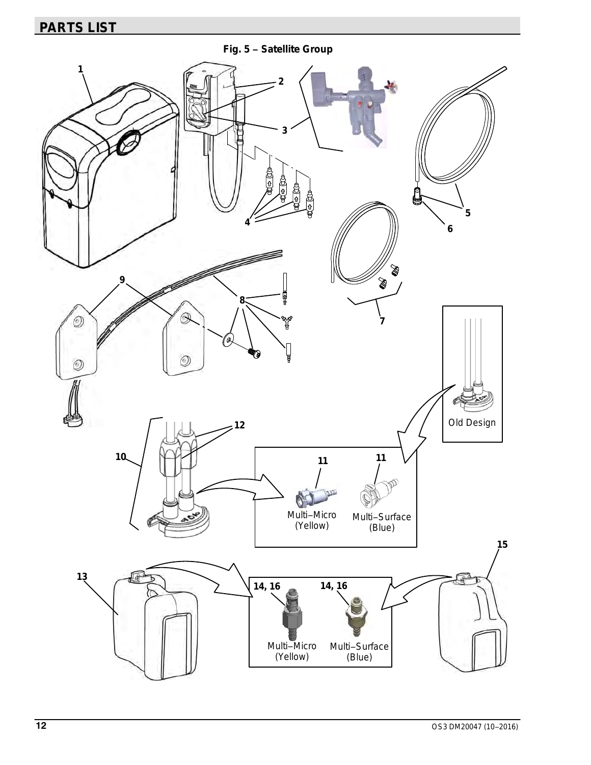**Fig. 5 − Satellite Group**

<span id="page-11-0"></span>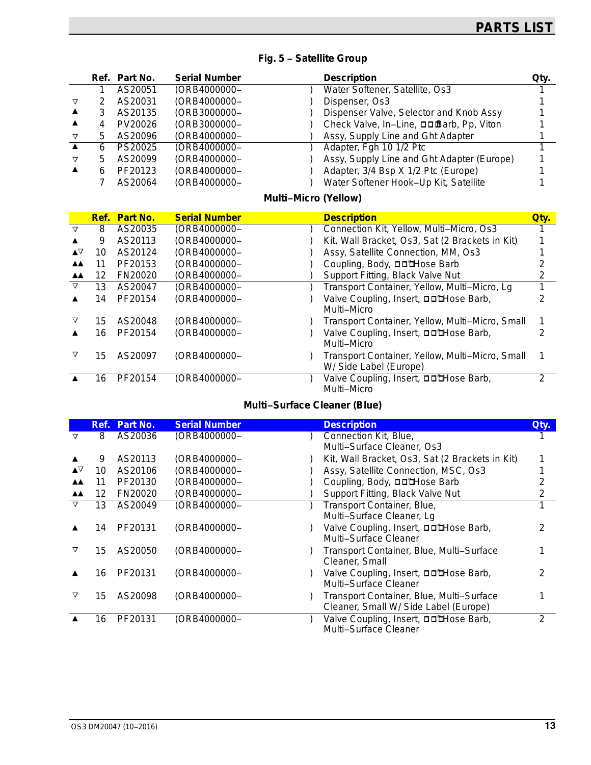|  | Fig. 5 - Satellite Group |  |
|--|--------------------------|--|
|--|--------------------------|--|

|   |   | Ref. Part No. | <b>Serial Number</b> | <b>Description</b>                         | Qty. |
|---|---|---------------|----------------------|--------------------------------------------|------|
|   |   | AS20051       | (ORB4000000-         | Water Softener, Satellite, Os3             |      |
| ▽ |   | AS20031       | (ORB4000000-         | Dispenser, Os3                             |      |
|   |   | AS20135       | (ORB3000000-         | Dispenser Valve, Selector and Knob Assy    |      |
|   |   | PV20026       | (ORB3000000-         | Check Valve, In-Line, □□Barb, Pp, Viton    |      |
| ▽ | 5 | AS20096       | (ORB4000000-         | Assy, Supply Line and Ght Adapter          |      |
|   | 6 | PS20025       | (ORB4000000-         | Adapter, Fgh 10 1/2 Ptc                    |      |
| ▽ | 5 | AS20099       | (ORB4000000-         | Assy, Supply Line and Ght Adapter (Europe) |      |
| ▲ | 6 | PF20123       | (ORB4000000-         | Adapter, 3/4 Bsp X 1/2 Ptc (Europe)        |      |
|   |   | AS20064       | (ORB4000000-         | Water Softener Hook-Up Kit, Satellite      |      |

### **Multi−Micro (Yellow)**

|                 |    | <b>Ref. Part No.</b> | <b>Serial Number</b> | <b>Description</b>                                           | Qtv.                                            |  |
|-----------------|----|----------------------|----------------------|--------------------------------------------------------------|-------------------------------------------------|--|
| $\triangledown$ | 8  | AS20035              | (ORB4000000-         | Connection Kit, Yellow, Multi-Micro, Os3                     |                                                 |  |
|                 |    |                      |                      |                                                              |                                                 |  |
|                 | 9  | AS20113              | (ORB4000000-         | Kit, Wall Bracket, Os3, Sat (2 Brackets in Kit)              |                                                 |  |
| ▲∆              | 10 | AS20124              | (ORB4000000-         | Assy, Satellite Connection, MM, Os3                          |                                                 |  |
| <b>AA</b>       | 11 | PF20153              | (ORB4000000-         | Coupling, Body, <b>DD'Hose Barb</b>                          |                                                 |  |
| AA.             | 12 | FN20020              | (ORB4000000-         | Support Fitting, Black Valve Nut                             |                                                 |  |
| ▽               | 13 | AS20047              | (ORB4000000-         | Transport Container, Yellow, Multi-Micro, Lg                 |                                                 |  |
|                 | 14 | PF20154              | (ORB4000000-         | Valve Coupling, Insert, DD'Hose Barb,<br>Multi-Micro         |                                                 |  |
|                 | 15 | AS20048              | (ORB4000000-         |                                                              | Transport Container, Yellow, Multi-Micro, Small |  |
|                 | 16 | PF20154              | (ORB4000000-         | Valve Coupling, Insert, □□□Hose Barb,<br>Multi-Micro         | 2                                               |  |
|                 | 15 | AS20097              | (ORB4000000–         | W/ Side Label (Europe)                                       | Transport Container, Yellow, Multi-Micro, Small |  |
|                 | 16 | PF20154              | (ORB4000000–         | Valve Coupling, Insert, <b>OD'Hose Barb</b> ,<br>Multi-Micro | 2                                               |  |

### **Multi−Surface Cleaner (Blue)**

|           | Ref. | Part No. | <b>Serial Number</b> | <b>Description</b>                                                                | Qty. |
|-----------|------|----------|----------------------|-----------------------------------------------------------------------------------|------|
| ᢦ         | 8    | AS20036  | (ORB4000000-         | Connection Kit, Blue,                                                             |      |
|           |      |          |                      | Multi-Surface Cleaner, Os3                                                        |      |
|           | 9    | AS20113  | (ORB4000000–         | Kit, Wall Bracket, Os3, Sat (2 Brackets in Kit)                                   |      |
| ▲∨        | 10   | AS20106  | (ORB4000000-         | Assy, Satellite Connection, MSC, Os3                                              |      |
| <b>AA</b> | 11   | PF20130  | (ORB4000000-         | Coupling, Body, <b>DD'Hose Barb</b>                                               |      |
| AA.       | 12   | FN20020  | (ORB4000000-         | Support Fitting, Black Valve Nut                                                  |      |
| $\nabla$  | 13   | AS20049  | (ORB4000000-         | Transport Container, Blue,                                                        |      |
|           |      |          |                      | Multi-Surface Cleaner, Lg                                                         |      |
|           | 14   | PF20131  | (ORB4000000–         | Valve Coupling, Insert, □□□bose Barb,<br>Multi-Surface Cleaner                    |      |
| ▽         | 15   | AS20050  | (ORB4000000–         | Transport Container, Blue, Multi-Surface<br>Cleaner, Small                        |      |
|           | 16   | PF20131  | (ORB4000000–         | Valve Coupling, Insert, <b>DD'Hose Barb</b> ,<br>Multi-Surface Cleaner            |      |
| ▽         | 15   | AS20098  | (ORB4000000-         | Transport Container, Blue, Multi-Surface<br>Cleaner, Small W/ Side Label (Europe) |      |
|           | 16   | PF20131  | (ORB4000000–         | Valve Coupling, Insert, □□□bose Barb,<br>Multi-Surface Cleaner                    | 2    |